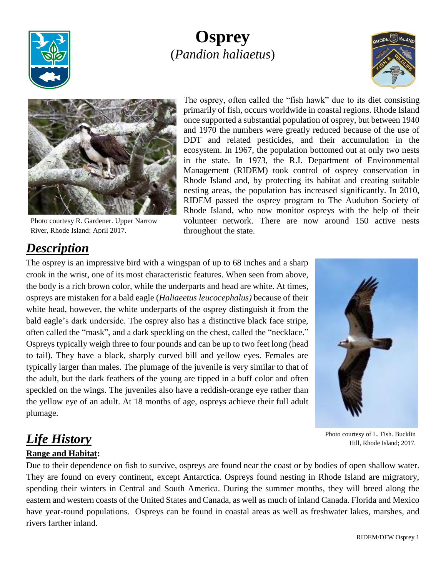

# **Osprey** (*Pandion haliaetus*)





Photo courtesy R. Gardener. Upper Narrow River, Rhode Island; April 2017.

The osprey, often called the "fish hawk" due to its diet consisting primarily of fish, occurs worldwide in coastal regions. Rhode Island once supported a substantial population of osprey, but between 1940 and 1970 the numbers were greatly reduced because of the use of DDT and related pesticides, and their accumulation in the ecosystem. In 1967, the population bottomed out at only two nests in the state. In 1973, the R.I. Department of Environmental Management (RIDEM) took control of osprey conservation in Rhode Island and, by protecting its habitat and creating suitable nesting areas, the population has increased significantly. In 2010, RIDEM passed the osprey program to The Audubon Society of Rhode Island, who now monitor ospreys with the help of their volunteer network. There are now around 150 active nests throughout the state.

## *Description*

The osprey is an impressive bird with a wingspan of up to 68 inches and a sharp crook in the wrist, one of its most characteristic features. When seen from above, the body is a rich brown color, while the underparts and head are white. At times, ospreys are mistaken for a bald eagle (*Haliaeetus leucocephalus)* because of their white head, however, the white underparts of the osprey distinguish it from the bald eagle's dark underside. The osprey also has a distinctive black face stripe, often called the "mask", and a dark speckling on the chest, called the "necklace." Ospreys typically weigh three to four pounds and can be up to two feet long (head to tail). They have a black, sharply curved bill and yellow eyes. Females are typically larger than males. The plumage of the juvenile is very similar to that of the adult, but the dark feathers of the young are tipped in a buff color and often speckled on the wings. The juveniles also have a reddish-orange eye rather than the yellow eye of an adult. At 18 months of age, ospreys achieve their full adult plumage.



Photo courtesy of L. Fish. Bucklin Hill, Rhode Island; 2017.

# *Life History*

#### **Range and Habitat:**

Due to their dependence on fish to survive, ospreys are found near the coast or by bodies of open shallow water. They are found on every continent, except Antarctica. Ospreys found nesting in Rhode Island are migratory, spending their winters in Central and South America. During the summer months, they will breed along the eastern and western coasts of the United States and Canada, as well as much of inland Canada. Florida and Mexico have year-round populations. Ospreys can be found in coastal areas as well as freshwater lakes, marshes, and rivers farther inland.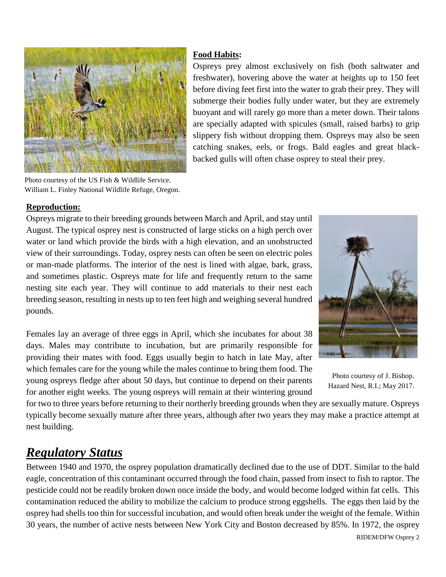

Photo courtesy of the US Fish & Wildlife Service. William L. Finley National Wildlife Refuge, Oregon.

#### **Food Habits:**

Ospreys prey almost exclusively on fish (both saltwater and freshwater), hovering above the water at heights up to 150 feet before diving feet first into the water to grab their prey. They will submerge their bodies fully under water, but they are extremely buoyant and will rarely go more than a meter down. Their talons are specially adapted with spicules (small, raised barbs) to grip slippery fish without dropping them. Ospreys may also be seen catching snakes, eels, or frogs. Bald eagles and great blackbacked gulls will often chase osprey to steal their prey.

#### **Reproduction:**

Ospreys migrate to their breeding grounds between March and April, and stay until August. The typical osprey nest is constructed of large sticks on a high perch over water or land which provide the birds with a high elevation, and an unobstructed view of their surroundings. Today, osprey nests can often be seen on electric poles or man-made platforms. The interior of the nest is lined with algae, bark, grass, and sometimes plastic. Ospreys mate for life and frequently return to the same nesting site each year. They will continue to add materials to their nest each breeding season, resulting in nests up to ten feet high and weighing several hundred pounds.

Females lay an average of three eggs in April, which she incubates for about 38 days. Males may contribute to incubation, but are primarily responsible for providing their mates with food. Eggs usually begin to hatch in late May, after which females care for the young while the males continue to bring them food. The young ospreys fledge after about 50 days, but continue to depend on their parents for another eight weeks. The young ospreys will remain at their wintering ground



Photo courtesy of J. Bishop. Hazard Nest, R.I.; May 2017.

for two to three years before returning to their northerly breeding grounds when they are sexually mature. Ospreys typically become sexually mature after three years, although after two years they may make a practice attempt at nest building.

### *Regulatory Status*

Between 1940 and 1970, the osprey population dramatically declined due to the use of DDT. Similar to the bald eagle, concentration of this contaminant occurred through the food chain, passed from insect to fish to raptor. The pesticide could not be readily broken down once inside the body, and would become lodged within fat cells. This contamination reduced the ability to mobilize the calcium to produce strong eggshells. The eggs then laid by the osprey had shells too thin for successful incubation, and would often break under the weight of the female. Within 30 years, the number of active nests between New York City and Boston decreased by 85%. In 1972, the osprey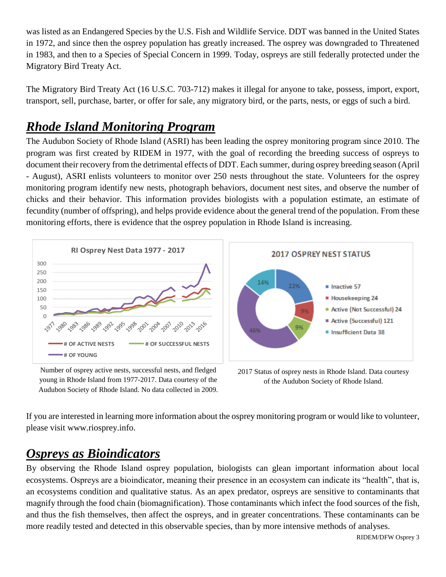was listed as an Endangered Species by the U.S. Fish and Wildlife Service. DDT was banned in the United States in 1972, and since then the osprey population has greatly increased. The osprey was downgraded to Threatened in 1983, and then to a Species of Special Concern in 1999. Today, ospreys are still federally protected under the Migratory Bird Treaty Act.

The Migratory Bird Treaty Act (16 U.S.C. 703-712) makes it illegal for anyone to take, possess, import, export, transport, sell, purchase, barter, or offer for sale, any migratory bird, or the parts, nests, or eggs of such a bird.

## *Rhode Island Monitoring Program*

The Audubon Society of Rhode Island (ASRI) has been leading the osprey monitoring program since 2010. The program was first created by RIDEM in 1977, with the goal of recording the breeding success of ospreys to document their recovery from the detrimental effects of DDT. Each summer, during osprey breeding season (April - August), ASRI enlists volunteers to monitor over 250 nests throughout the state. Volunteers for the osprey monitoring program identify new nests, photograph behaviors, document nest sites, and observe the number of chicks and their behavior. This information provides biologists with a population estimate, an estimate of fecundity (number of offspring), and helps provide evidence about the general trend of the population. From these monitoring efforts, there is evidence that the osprey population in Rhode Island is increasing.



Number of osprey active nests, successful nests, and fledged young in Rhode Island from 1977-2017. Data courtesy of the Audubon Society of Rhode Island. No data collected in 2009.

2017 Status of osprey nests in Rhode Island. Data courtesy of the Audubon Society of Rhode Island.

If you are interested in learning more information about the osprey monitoring program or would like to volunteer, please visit www.riosprey.info.

#### *Ospreys as Bioindicators*

By observing the Rhode Island osprey population, biologists can glean important information about local ecosystems. Ospreys are a bioindicator, meaning their presence in an ecosystem can indicate its "health", that is, an ecosystems condition and qualitative status. As an apex predator, ospreys are sensitive to contaminants that magnify through the food chain (biomagnification). Those contaminants which infect the food sources of the fish, and thus the fish themselves, then affect the ospreys, and in greater concentrations. These contaminants can be more readily tested and detected in this observable species, than by more intensive methods of analyses.